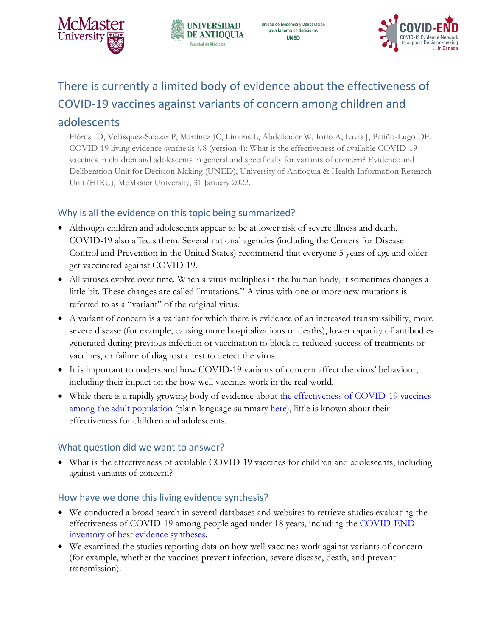





# There is currently a limited body of evidence about the effectiveness of COVID-19 vaccines against variants of concern among children and

# adolescents

Flórez ID, Velásquez-Salazar P, Martínez JC, Linkins L, Abdelkader W, Iorio A, Lavis J, Patiño-Lugo DF. COVID-19 living evidence synthesis #8 (version 4): What is the effectiveness of available COVID-19 vaccines in children and adolescents in general and specifically for variants of concern? Evidence and Deliberation Unit for Decision Making (UNED), University of Antioquia & Health Information Research Unit (HIRU), McMaster University, 31 January 2022.

## Why is all the evidence on this topic being summarized?

- Although children and adolescents appear to be at lower risk of severe illness and death, COVID-19 also affects them. Several national agencies (including the Centers for Disease Control and Prevention in the United States) recommend that everyone 5 years of age and older get vaccinated against COVID-19.
- All viruses evolve over time. When a virus multiplies in the human body, it sometimes changes a little bit. These changes are called "mutations." A virus with one or more new mutations is referred to as a "variant" of the original virus.
- A variant of concern is a variant for which there is evidence of an increased transmissibility, more severe disease (for example, causing more hospitalizations or deaths), lower capacity of antibodies generated during previous infection or vaccination to block it, reduced success of treatments or vaccines, or failure of diagnostic test to detect the virus.
- It is important to understand how COVID-19 variants of concern affect the virus' behaviour, including their impact on the how well vaccines work in the real world.
- While there is a rapidly growing body of evidence about the effectiveness of COVID-19 vaccines [among the adult population](https://www.mcmasterforum.org/docs/default-source/product-documents/living-evidence-syntheses/covid-19-living-evidence-synthesis-6.29---what-is-the-efficacy-and-effectiveness-of-available-covid-19-vaccines-in-general-and-specifically-for-variants-of-concern.pdf?sfvrsn=976fa3a5_5) (plain-language summary [here\)](https://www.mcmasterforum.org/docs/default-source/product-documents/plain-language-summary/plain-language-summary---covid-19-living-evidence-profile-6.22_what-is-the-efficacy-and-effectiveness-of-available-covid-19-vaccines-in-general-and-specifically-for-variants-of-concern.pdf?sfvrsn=d3e16e06_5), little is known about their effectiveness for children and adolescents.

## What question did we want to answer?

• What is the effectiveness of available COVID-19 vaccines for children and adolescents, including against variants of concern?

### How have we done this living evidence synthesis?

- We conducted a broad search in several databases and websites to retrieve studies evaluating the effectiveness of COVID-19 among people aged under 18 years, including the [COVID-END](https://www.mcmasterforum.org/networks/covid-end/resources-to-support-decision-makers/Inventory-of-best-evidence-syntheses)  [inventory of best evidence syntheses.](https://www.mcmasterforum.org/networks/covid-end/resources-to-support-decision-makers/Inventory-of-best-evidence-syntheses)
- We examined the studies reporting data on how well vaccines work against variants of concern (for example, whether the vaccines prevent infection, severe disease, death, and prevent transmission).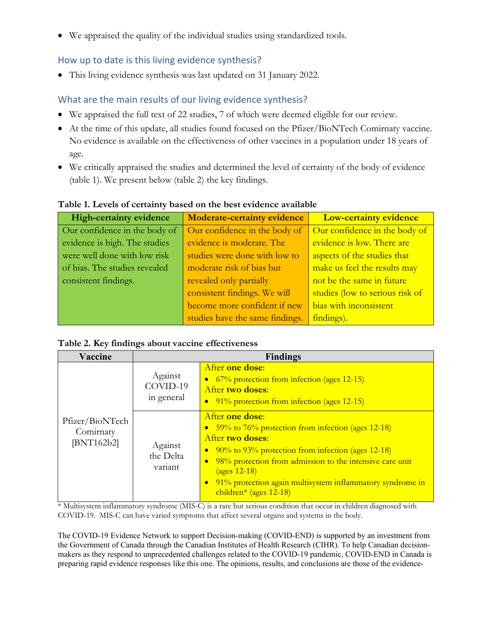• We appraised the quality of the individual studies using standardized tools.

### How up to date is this living evidence synthesis?

• This living evidence synthesis was last updated on 31 January 2022.

## What are the main results of our living evidence synthesis?

- We appraised the full text of 22 studies, 7 of which were deemed eligible for our review.
- At the time of this update, all studies found focused on the Pfizer/BioNTech Comirnaty vaccine. No evidence is available on the effectiveness of other vaccines in a population under 18 years of age.
- We critically appraised the studies and determined the level of certainty of the body of evidence (table 1). We present below (table 2) the key findings.

| <b>High-certainty evidence</b> | <b>Moderate-certainty evidence</b> | <b>Low-certainty evidence</b>   |
|--------------------------------|------------------------------------|---------------------------------|
| Our confidence in the body of  | Our confidence in the body of      | Our confidence in the body of   |
| evidence is high. The studies  | evidence is moderate. The          | evidence is low. There are      |
| were well done with low risk   | studies were done with low to      | aspects of the studies that     |
| of bias. The studies revealed  | moderate risk of bias but          | make us feel the results may    |
| consistent findings.           | revealed only partially            | not be the same in future       |
|                                | consistent findings. We will       | studies (low to serious risk of |
|                                | become more confident if new       | bias with inconsistent          |
|                                | studies have the same findings.    | findings).                      |

#### **Table 1. Levels of certainty based on the best evidence available**

#### **Table 2. Key findings about vaccine effectiveness**

| Vaccine                                    | <b>Findings</b>                   |                                                                                                                                                                                                                                                                                                                                                              |  |
|--------------------------------------------|-----------------------------------|--------------------------------------------------------------------------------------------------------------------------------------------------------------------------------------------------------------------------------------------------------------------------------------------------------------------------------------------------------------|--|
|                                            | Against<br>COVID-19<br>in general | After one dose:<br>• 67% protection from infection (ages 12-15)<br>After two doses:<br>• 91% protection from infection (ages 12-15)                                                                                                                                                                                                                          |  |
| Pfizer/BioNTech<br>Comirnaty<br>[BNT162b2] | Against<br>the Delta<br>variant   | After one dose:<br>• 59% to 76% protection from infection (ages 12-18)<br>After two doses:<br>• $90\%$ to $93\%$ protection from infection (ages 12-18)<br>98% protection from admission to the intensive care unit<br>$\bullet$<br>$\frac{12-18}{2}$<br>91% protection again multisystem inflammatory syndrome in<br>$\bullet$<br>children* (ages $12-18$ ) |  |

\* Multisystem inflammatory syndrome (MIS-C) is a rare but serious condition that occur in children diagnosed with COVID-19. MIS-C can have varied symptoms that affect several organs and systems in the body.

The COVID-19 Evidence Network to support Decision-making (COVID-END) is supported by an investment from the Government of Canada through the Canadian Institutes of Health Research (CIHR). To help Canadian decisionmakers as they respond to unprecedented challenges related to the COVID-19 pandemic, COVID-END in Canada is preparing rapid evidence responses like this one. The opinions, results, and conclusions are those of the evidence